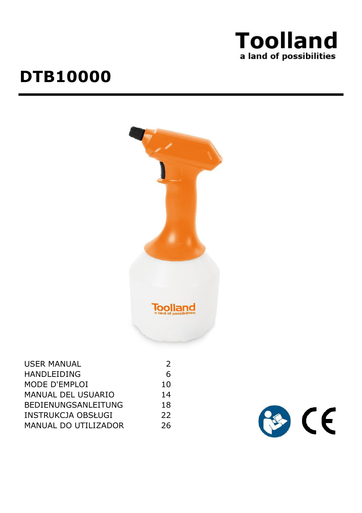

# **DTB10000**



| <b>USER MANUAL</b>          | 2   |
|-----------------------------|-----|
| HANDLEIDING                 | 6   |
| MODE D'EMPLOI               | 10  |
| MANUAL DEL USUARIO          | 14  |
| <b>BEDIENUNGSANLEITUNG</b>  | 18  |
| INSTRUKCJA OBSŁUGI          | 22  |
| <b>MANUAL DO UTILIZADOR</b> | 26. |

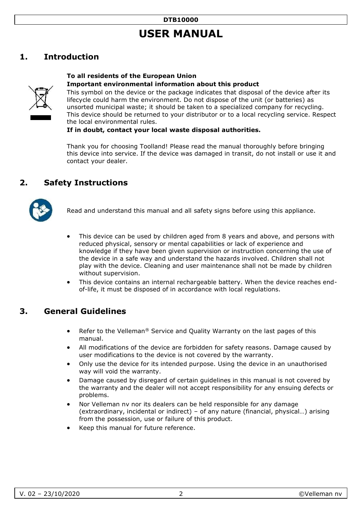# **USER MANUAL**

# <span id="page-1-0"></span>**1. Introduction**

#### **To all residents of the European Union Important environmental information about this product**



This symbol on the device or the package indicates that disposal of the device after its lifecycle could harm the environment. Do not dispose of the unit (or batteries) as unsorted municipal waste; it should be taken to a specialized company for recycling. This device should be returned to your distributor or to a local recycling service. Respect the local environmental rules.

#### **If in doubt, contact your local waste disposal authorities.**

Thank you for choosing Toolland! Please read the manual thoroughly before bringing this device into service. If the device was damaged in transit, do not install or use it and contact your dealer.

## **2. Safety Instructions**



Read and understand this manual and all safety signs before using this appliance.

- This device can be used by children aged from 8 years and above, and persons with reduced physical, sensory or mental capabilities or lack of experience and knowledge if they have been given supervision or instruction concerning the use of the device in a safe way and understand the hazards involved. Children shall not play with the device. Cleaning and user maintenance shall not be made by children without supervision.
- This device contains an internal rechargeable battery. When the device reaches endof-life, it must be disposed of in accordance with local regulations.

### **3. General Guidelines**

- Refer to the Velleman® Service and Quality Warranty on the last pages of this manual.
- All modifications of the device are forbidden for safety reasons. Damage caused by user modifications to the device is not covered by the warranty.
- Only use the device for its intended purpose. Using the device in an unauthorised way will void the warranty.
- Damage caused by disregard of certain guidelines in this manual is not covered by the warranty and the dealer will not accept responsibility for any ensuing defects or problems.
- Nor Velleman nv nor its dealers can be held responsible for any damage (extraordinary, incidental or indirect) – of any nature (financial, physical…) arising from the possession, use or failure of this product.
- Keep this manual for future reference.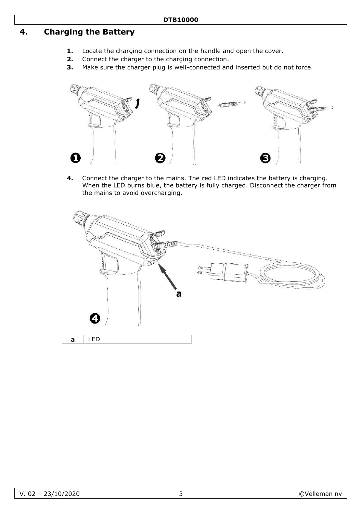# **4. Charging the Battery**

- **1.** Locate the charging connection on the handle and open the cover.
- **2.** Connect the charger to the charging connection.
- **3.** Make sure the charger plug is well-connected and inserted but do not force.



**4.** Connect the charger to the mains. The red LED indicates the battery is charging. When the LED burns blue, the battery is fully charged. Disconnect the charger from the mains to avoid overcharging.

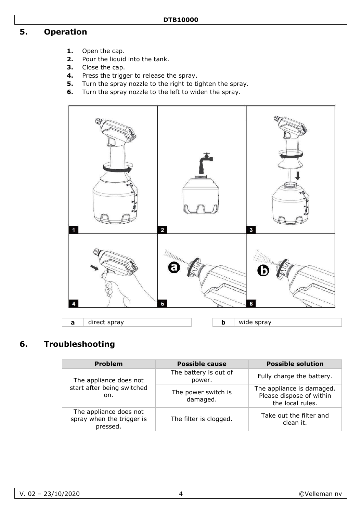#### **DTB10000**

# **5. Operation**

- **1.** Open the cap.
- **2.** Pour the liquid into the tank.
- **3.** Close the cap.
- **4.** Press the trigger to release the spray.
- **5.** Turn the spray nozzle to the right to tighten the spray.
- **6.** Turn the spray nozzle to the left to widen the spray.



# **6. Troubleshooting**

| <b>Problem</b>                                                  | <b>Possible cause</b>           | <b>Possible solution</b>                                                  |
|-----------------------------------------------------------------|---------------------------------|---------------------------------------------------------------------------|
| The appliance does not                                          | The battery is out of<br>power. | Fully charge the battery.                                                 |
| start after being switched<br>on.                               | The power switch is<br>damaged. | The appliance is damaged.<br>Please dispose of within<br>the local rules. |
| The appliance does not<br>spray when the trigger is<br>pressed. | The filter is clogged.          | Take out the filter and<br>clean it.                                      |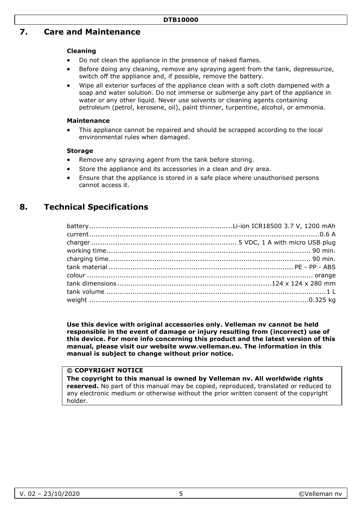### **7. Care and Maintenance**

#### **Cleaning**

- Do not clean the appliance in the presence of naked flames.
- Before doing any cleaning, remove any spraying agent from the tank, depressurize, switch off the appliance and, if possible, remove the battery.
- Wipe all exterior surfaces of the appliance clean with a soft cloth dampened with a soap and water solution. Do not immerse or submerge any part of the appliance in water or any other liquid. Never use solvents or cleaning agents containing petroleum (petrol, kerosene, oil), paint thinner, turpentine, alcohol, or ammonia.

#### **Maintenance**

• This appliance cannot be repaired and should be scrapped according to the local environmental rules when damaged.

#### **Storage**

- Remove any spraying agent from the tank before storing.
- Store the appliance and its accessories in a clean and dry area.
- Ensure that the appliance is stored in a safe place where unauthorised persons cannot access it.

# **8. Technical Specifications**

**Use this device with original accessories only. Velleman nv cannot be held responsible in the event of damage or injury resulting from (incorrect) use of this device. For more info concerning this product and the latest version of this manual, please visit our website www.velleman.eu. The information in this manual is subject to change without prior notice.**

#### **© COPYRIGHT NOTICE**

**The copyright to this manual is owned by Velleman nv. All worldwide rights reserved.** No part of this manual may be copied, reproduced, translated or reduced to any electronic medium or otherwise without the prior written consent of the copyright holder.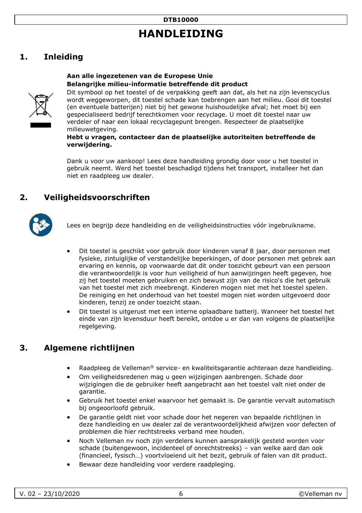# **HANDLEIDING**

# <span id="page-5-0"></span>**1. Inleiding**

#### **Aan alle ingezetenen van de Europese Unie Belangrijke milieu-informatie betreffende dit product**



Dit symbool op het toestel of de verpakking geeft aan dat, als het na zijn levenscyclus wordt weggeworpen, dit toestel schade kan toebrengen aan het milieu. Gooi dit toestel (en eventuele batterijen) niet bij het gewone huishoudelijke afval; het moet bij een gespecialiseerd bedrijf terechtkomen voor recyclage. U moet dit toestel naar uw verdeler of naar een lokaal recyclagepunt brengen. Respecteer de plaatselijke milieuwetgeving.

#### **Hebt u vragen, contacteer dan de plaatselijke autoriteiten betreffende de verwijdering.**

Dank u voor uw aankoop! Lees deze handleiding grondig door voor u het toestel in gebruik neemt. Werd het toestel beschadigd tijdens het transport, installeer het dan niet en raadpleeg uw dealer.

# **2. Veiligheidsvoorschriften**



Lees en begrijp deze handleiding en de veiligheidsinstructies vóór ingebruikname.

- Dit toestel is geschikt voor gebruik door kinderen vanaf 8 jaar, door personen met fysieke, zintuiglijke of verstandelijke beperkingen, of door personen met gebrek aan ervaring en kennis, op voorwaarde dat dit onder toezicht gebeurt van een persoon die verantwoordelijk is voor hun veiligheid of hun aanwijzingen heeft gegeven, hoe zij het toestel moeten gebruiken en zich bewust zijn van de risico's die het gebruik van het toestel met zich meebrengt. Kinderen mogen niet met het toestel spelen. De reiniging en het onderhoud van het toestel mogen niet worden uitgevoerd door kinderen, tenzij ze onder toezicht staan.
- Dit toestel is uitgerust met een interne oplaadbare batterij. Wanneer het toestel het einde van zijn levensduur heeft bereikt, ontdoe u er dan van volgens de plaatselijke regelgeving.

# **3. Algemene richtlijnen**

- Raadpleeg de Velleman® service- en kwaliteitsgarantie achteraan deze handleiding.
- Om veiligheidsredenen mag u geen wijzigingen aanbrengen. Schade door wijzigingen die de gebruiker heeft aangebracht aan het toestel valt niet onder de garantie.
- Gebruik het toestel enkel waarvoor het gemaakt is. De garantie vervalt automatisch bij ongeoorloofd gebruik.
- De garantie geldt niet voor schade door het negeren van bepaalde richtlijnen in deze handleiding en uw dealer zal de verantwoordelijkheid afwijzen voor defecten of problemen die hier rechtstreeks verband mee houden.
- Noch Velleman nv noch zijn verdelers kunnen aansprakelijk gesteld worden voor schade (buitengewoon, incidenteel of onrechtstreeks) – van welke aard dan ook (financieel, fysisch…) voortvloeiend uit het bezit, gebruik of falen van dit product.
- Bewaar deze handleiding voor verdere raadpleging.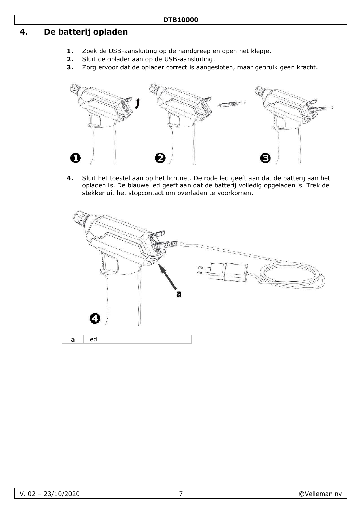# **4. De batterij opladen**

- **1.** Zoek de USB-aansluiting op de handgreep en open het klepje.
- **2.** Sluit de oplader aan op de USB-aansluiting.
- **3.** Zorg ervoor dat de oplader correct is aangesloten, maar gebruik geen kracht.



**4.** Sluit het toestel aan op het lichtnet. De rode led geeft aan dat de batterij aan het opladen is. De blauwe led geeft aan dat de batterij volledig opgeladen is. Trek de stekker uit het stopcontact om overladen te voorkomen.

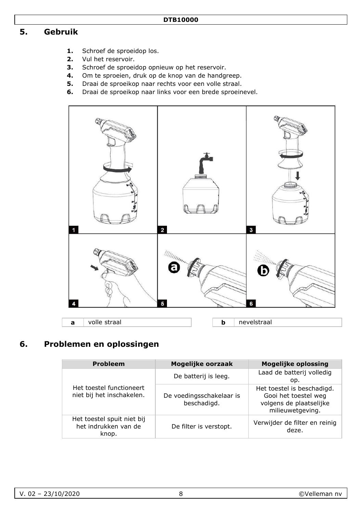# **5. Gebruik**

- **1.** Schroef de sproeidop los.
- **2.** Vul het reservoir.
- **3.** Schroef de sproeidop opnieuw op het reservoir.
- **4.** Om te sproeien, druk op de knop van de handgreep.
- **5.** Draai de sproeikop naar rechts voor een volle straal.
- **6.** Draai de sproeikop naar links voor een brede sproeinevel.



# **6. Problemen en oplossingen**

| <b>Probleem</b>                                             | Mogelijke oorzaak                       | <b>Mogelijke oplossing</b>                                                                        |
|-------------------------------------------------------------|-----------------------------------------|---------------------------------------------------------------------------------------------------|
|                                                             | De batterij is leeg.                    | Laad de batterij volledig<br>op.                                                                  |
| Het toestel functioneert<br>niet bij het inschakelen.       | De voedingsschakelaar is<br>beschadigd. | Het toestel is beschadigd.<br>Gooi het toestel weg<br>volgens de plaatselijke<br>milieuwetgeving. |
| Het toestel spuit niet bij<br>het indrukken van de<br>knop. | De filter is verstopt.                  | Verwijder de filter en reinig<br>deze.                                                            |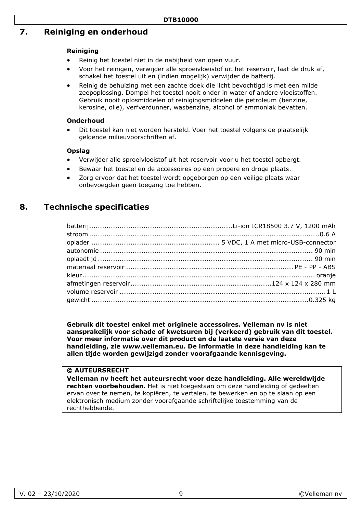# **7. Reiniging en onderhoud**

#### **Reiniging**

- Reinig het toestel niet in de nabijheid van open vuur.
- Voor het reinigen, verwijder alle sproeivloeistof uit het reservoir, laat de druk af, schakel het toestel uit en (indien mogelijk) verwijder de batterij.
- Reinig de behuizing met een zachte doek die licht bevochtigd is met een milde zeepoplossing. Dompel het toestel nooit onder in water of andere vloeistoffen. Gebruik nooit oplosmiddelen of reinigingsmiddelen die petroleum (benzine, kerosine, olie), verfverdunner, wasbenzine, alcohol of ammoniak bevatten.

#### **Onderhoud**

• Dit toestel kan niet worden hersteld. Voer het toestel volgens de plaatselijk geldende milieuvoorschriften af.

#### **Opslag**

- Verwijder alle sproeivloeistof uit het reservoir voor u het toestel opbergt.
- Bewaar het toestel en de accessoires op een propere en droge plaats.
- Zorg ervoor dat het toestel wordt opgeborgen op een veilige plaats waar onbevoegden geen toegang toe hebben.

# **8. Technische specificaties**

**Gebruik dit toestel enkel met originele accessoires. Velleman nv is niet aansprakelijk voor schade of kwetsuren bij (verkeerd) gebruik van dit toestel. Voor meer informatie over dit product en de laatste versie van deze handleiding, zie www.velleman.eu. De informatie in deze handleiding kan te allen tijde worden gewijzigd zonder voorafgaande kennisgeving.** 

#### **© AUTEURSRECHT**

**Velleman nv heeft het auteursrecht voor deze handleiding. Alle wereldwijde rechten voorbehouden.** Het is niet toegestaan om deze handleiding of gedeelten ervan over te nemen, te kopiëren, te vertalen, te bewerken en op te slaan op een elektronisch medium zonder voorafgaande schriftelijke toestemming van de rechthebbende.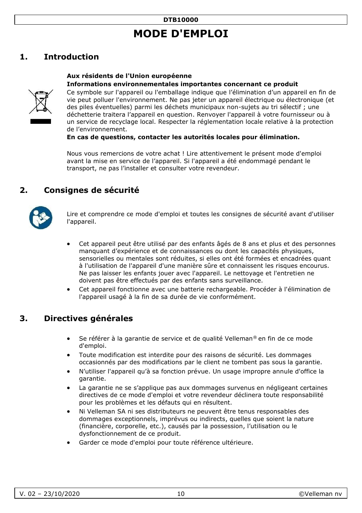# **MODE D'EMPLOI**

# <span id="page-9-0"></span>**1. Introduction**

# **Aux résidents de l'Union européenne**



**Informations environnementales importantes concernant ce produit**  Ce symbole sur l'appareil ou l'emballage indique que l'élimination d'un appareil en fin de vie peut polluer l'environnement. Ne pas jeter un appareil électrique ou électronique (et des piles éventuelles) parmi les déchets municipaux non-sujets au tri sélectif ; une déchetterie traitera l'appareil en question. Renvoyer l'appareil à votre fournisseur ou à un service de recyclage local. Respecter la réglementation locale relative à la protection de l'environnement.

**En cas de questions, contacter les autorités locales pour élimination.** 

Nous vous remercions de votre achat ! Lire attentivement le présent mode d'emploi avant la mise en service de l'appareil. Si l'appareil a été endommagé pendant le transport, ne pas l'installer et consulter votre revendeur.

# **2. Consignes de sécurité**



Lire et comprendre ce mode d'emploi et toutes les consignes de sécurité avant d'utiliser l'appareil.

- Cet appareil peut être utilisé par des enfants âgés de 8 ans et plus et des personnes manquant d'expérience et de connaissances ou dont les capacités physiques, sensorielles ou mentales sont réduites, si elles ont été formées et encadrées quant à l'utilisation de l'appareil d'une manière sûre et connaissent les risques encourus. Ne pas laisser les enfants jouer avec l'appareil. Le nettoyage et l'entretien ne doivent pas être effectués par des enfants sans surveillance.
- Cet appareil fonctionne avec une batterie rechargeable. Procéder à l'élimination de l'appareil usagé à la fin de sa durée de vie conformément.

### **3. Directives générales**

- Se référer à la garantie de service et de qualité Velleman® en fin de ce mode d'emploi.
- Toute modification est interdite pour des raisons de sécurité. Les dommages occasionnés par des modifications par le client ne tombent pas sous la garantie.
- N'utiliser l'appareil qu'à sa fonction prévue. Un usage impropre annule d'office la garantie.
- La garantie ne se s'applique pas aux dommages survenus en négligeant certaines directives de ce mode d'emploi et votre revendeur déclinera toute responsabilité pour les problèmes et les défauts qui en résultent.
- Ni Velleman SA ni ses distributeurs ne peuvent être tenus responsables des dommages exceptionnels, imprévus ou indirects, quelles que soient la nature (financière, corporelle, etc.), causés par la possession, l'utilisation ou le dysfonctionnement de ce produit.
- Garder ce mode d'emploi pour toute référence ultérieure.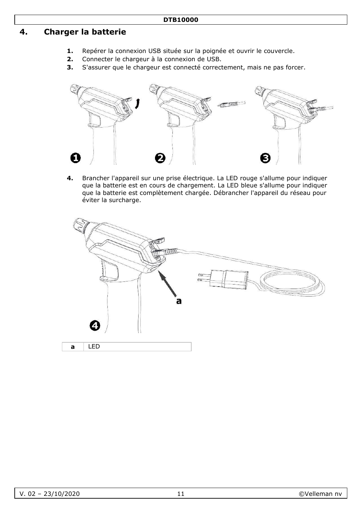# **4. Charger la batterie**

- **1.** Repérer la connexion USB située sur la poignée et ouvrir le couvercle.
- **2.** Connecter le chargeur à la connexion de USB.
- **3.** S'assurer que le chargeur est connecté correctement, mais ne pas forcer.



**4.** Brancher l'appareil sur une prise électrique. La LED rouge s'allume pour indiquer que la batterie est en cours de chargement. La LED bleue s'allume pour indiquer que la batterie est complètement chargée. Débrancher l'appareil du réseau pour éviter la surcharge.

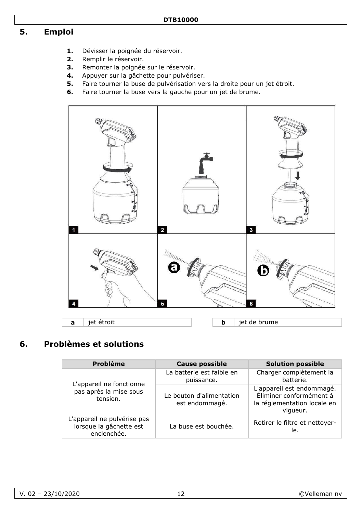# **5. Emploi**

- **1.** Dévisser la poignée du réservoir.
- **2.** Remplir le réservoir.
- **3.** Remonter la poignée sur le réservoir.
- **4.** Appuyer sur la gâchette pour pulvériser.
- **5.** Faire tourner la buse de pulvérisation vers la droite pour un jet étroit.
- **6.** Faire tourner la buse vers la gauche pour un jet de brume.



# **6. Problèmes et solutions**

| <b>Problème</b>                                                       | <b>Cause possible</b>                      | <b>Solution possible</b>                                                                        |
|-----------------------------------------------------------------------|--------------------------------------------|-------------------------------------------------------------------------------------------------|
|                                                                       | La batterie est faible en<br>puissance.    | Charger complètement la<br>batterie.                                                            |
| L'appareil ne fonctionne<br>pas après la mise sous<br>tension.        | Le bouton d'alimentation<br>est endommagé. | L'appareil est endommagé.<br>Éliminer conformément à<br>la réglementation locale en<br>vigueur. |
| L'appareil ne pulvérise pas<br>lorsque la gâchette est<br>enclenchée. | La buse est bouchée.                       | Retirer le filtre et nettoyer-<br>le.                                                           |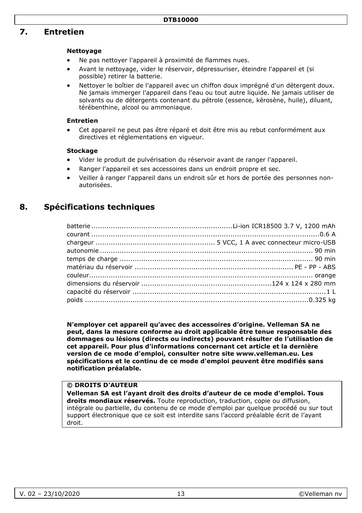# **7. Entretien**

#### **Nettoyage**

- Ne pas nettoyer l'appareil à proximité de flammes nues.
- Avant le nettoyage, vider le réservoir, dépressuriser, éteindre l'appareil et (si possible) retirer la batterie.
- Nettoyer le boîtier de l'appareil avec un chiffon doux imprégné d'un détergent doux. Ne jamais immerger l'appareil dans l'eau ou tout autre liquide. Ne jamais utiliser de solvants ou de détergents contenant du pétrole (essence, kérosène, huile), diluant, térébenthine, alcool ou ammoniaque.

#### **Entretien**

• Cet appareil ne peut pas être réparé et doit être mis au rebut conformément aux directives et réglementations en vigueur.

#### **Stockage**

- Vider le produit de pulvérisation du réservoir avant de ranger l'appareil.
- Ranger l'appareil et ses accessoires dans un endroit propre et sec.
- Veiller à ranger l'appareil dans un endroit sûr et hors de portée des personnes nonautorisées.

## **8. Spécifications techniques**

**N'employer cet appareil qu'avec des accessoires d'origine. Velleman SA ne peut, dans la mesure conforme au droit applicable être tenue responsable des dommages ou lésions (directs ou indirects) pouvant résulter de l'utilisation de cet appareil. Pour plus d'informations concernant cet article et la dernière version de ce mode d'emploi, consulter notre site www.velleman.eu. Les spécifications et le continu de ce mode d'emploi peuvent être modifiés sans notification préalable.** 

#### **© DROITS D'AUTEUR**

**Velleman SA est l'ayant droit des droits d'auteur de ce mode d'emploi. Tous droits mondiaux réservés.** Toute reproduction, traduction, copie ou diffusion, intégrale ou partielle, du contenu de ce mode d'emploi par quelque procédé ou sur tout support électronique que ce soit est interdite sans l'accord préalable écrit de l'ayant droit.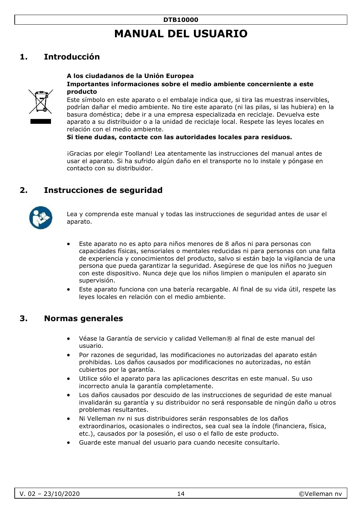# **MANUAL DEL USUARIO**

# <span id="page-13-0"></span>**1. Introducción**

#### **A los ciudadanos de la Unión Europea Importantes informaciones sobre el medio ambiente concerniente a este producto**

Este símbolo en este aparato o el embalaje indica que, si tira las muestras inservibles, podrían dañar el medio ambiente. No tire este aparato (ni las pilas, si las hubiera) en la basura doméstica; debe ir a una empresa especializada en reciclaje. Devuelva este aparato a su distribuidor o a la unidad de reciclaje local. Respete las leyes locales en relación con el medio ambiente.

**Si tiene dudas, contacte con las autoridades locales para residuos.** 

¡Gracias por elegir Toolland! Lea atentamente las instrucciones del manual antes de usar el aparato. Si ha sufrido algún daño en el transporte no lo instale y póngase en contacto con su distribuidor.

### **2. Instrucciones de seguridad**



Lea y comprenda este manual y todas las instrucciones de seguridad antes de usar el aparato.

- Este aparato no es apto para niños menores de 8 años ni para personas con capacidades físicas, sensoriales o mentales reducidas ni para personas con una falta de experiencia y conocimientos del producto, salvo si están bajo la vigilancia de una persona que pueda garantizar la seguridad. Asegúrese de que los niños no jueguen con este dispositivo. Nunca deje que los niños limpien o manipulen el aparato sin supervisión.
- Este aparato funciona con una batería recargable. Al final de su vida útil, respete las leyes locales en relación con el medio ambiente.

### **3. Normas generales**

- Véase la Garantía de servicio y calidad Velleman® al final de este manual del usuario.
- Por razones de seguridad, las modificaciones no autorizadas del aparato están prohibidas. Los daños causados por modificaciones no autorizadas, no están cubiertos por la garantía.
- Utilice sólo el aparato para las aplicaciones descritas en este manual. Su uso incorrecto anula la garantía completamente.
- Los daños causados por descuido de las instrucciones de seguridad de este manual invalidarán su garantía y su distribuidor no será responsable de ningún daño u otros problemas resultantes.
- Ni Velleman nv ni sus distribuidores serán responsables de los daños extraordinarios, ocasionales o indirectos, sea cual sea la índole (financiera, física, etc.), causados por la posesión, el uso o el fallo de este producto.
- Guarde este manual del usuario para cuando necesite consultarlo.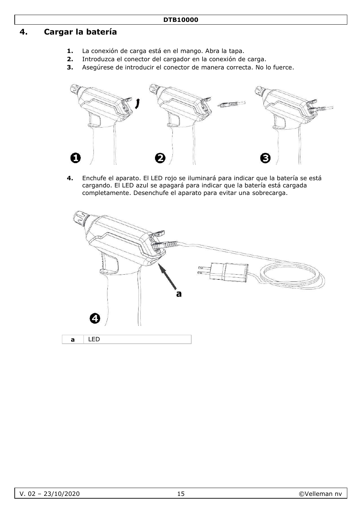# **4. Cargar la batería**

- **1.** La conexión de carga está en el mango. Abra la tapa.
- **2.** Introduzca el conector del cargador en la conexión de carga.
- **3.** Asegúrese de introducir el conector de manera correcta. No lo fuerce.



**4.** Enchufe el aparato. El LED rojo se iluminará para indicar que la batería se está cargando. El LED azul se apagará para indicar que la batería está cargada completamente. Desenchufe el aparato para evitar una sobrecarga.

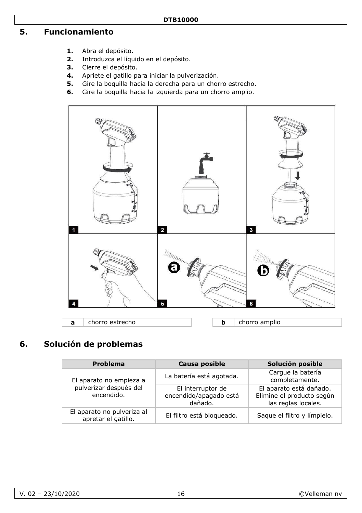# **5. Funcionamiento**

- **1.** Abra el depósito.
- **2.** Introduzca el líquido en el depósito.
- **3.** Cierre el depósito.
- **4.** Apriete el gatillo para iniciar la pulverización.
- **5.** Gire la boquilla hacia la derecha para un chorro estrecho.
- **6.** Gire la boquilla hacia la izquierda para un chorro amplio.



# **6. Solución de problemas**

| Problema                                          | Causa posible                                          | Solución posible                                                            |
|---------------------------------------------------|--------------------------------------------------------|-----------------------------------------------------------------------------|
| El aparato no empieza a                           | La batería está agotada.                               | Carque la batería<br>completamente.                                         |
| pulverizar después del<br>encendido.              | El interruptor de<br>encendido/apagado está<br>dañado. | El aparato está dañado.<br>Elimine el producto según<br>las reglas locales. |
| El aparato no pulveriza al<br>apretar el gatillo. | El filtro está bloqueado.                              | Saque el filtro y límpielo.                                                 |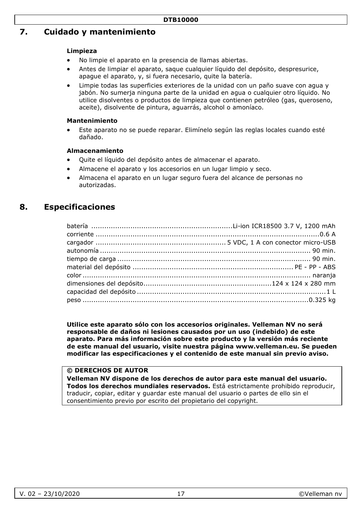# **7. Cuidado y mantenimiento**

#### **Limpieza**

- No limpie el aparato en la presencia de llamas abiertas.
- Antes de limpiar el aparato, saque cualquier líquido del depósito, despresurice, apague el aparato, y, si fuera necesario, quite la batería.
- Limpie todas las superficies exteriores de la unidad con un paño suave con agua y jabón. No sumerja ninguna parte de la unidad en agua o cualquier otro líquido. No utilice disolventes o productos de limpieza que contienen petróleo (gas, queroseno, aceite), disolvente de pintura, aguarrás, alcohol o amoníaco.

#### **Mantenimiento**

• Este aparato no se puede reparar. Elimínelo según las reglas locales cuando esté dañado.

#### **Almacenamiento**

- Quite el líquido del depósito antes de almacenar el aparato.
- Almacene el aparato y los accesorios en un lugar limpio y seco.
- Almacena el aparato en un lugar seguro fuera del alcance de personas no autorizadas.

# **8. Especificaciones**

**Utilice este aparato sólo con los accesorios originales. Velleman NV no será responsable de daños ni lesiones causados por un uso (indebido) de este aparato. Para más información sobre este producto y la versión más reciente de este manual del usuario, visite nuestra página www.velleman.eu. Se pueden modificar las especificaciones y el contenido de este manual sin previo aviso.** 

#### **© DERECHOS DE AUTOR**

**Velleman NV dispone de los derechos de autor para este manual del usuario. Todos los derechos mundiales reservados.** Está estrictamente prohibido reproducir, traducir, copiar, editar y guardar este manual del usuario o partes de ello sin el consentimiento previo por escrito del propietario del copyright.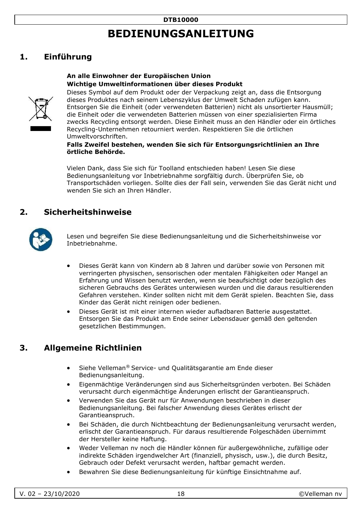# **BEDIENUNGSANLEITUNG**

# <span id="page-17-0"></span>**1. Einführung**

#### **An alle Einwohner der Europäischen Union Wichtige Umweltinformationen über dieses Produkt**



Dieses Symbol auf dem Produkt oder der Verpackung zeigt an, dass die Entsorgung dieses Produktes nach seinem Lebenszyklus der Umwelt Schaden zufügen kann. Entsorgen Sie die Einheit (oder verwendeten Batterien) nicht als unsortierter Hausmüll; die Einheit oder die verwendeten Batterien müssen von einer spezialisierten Firma zwecks Recycling entsorgt werden. Diese Einheit muss an den Händler oder ein örtliches Recycling-Unternehmen retourniert werden. Respektieren Sie die örtlichen Umweltvorschriften.

#### **Falls Zweifel bestehen, wenden Sie sich für Entsorgungsrichtlinien an Ihre örtliche Behörde.**

Vielen Dank, dass Sie sich für Toolland entschieden haben! Lesen Sie diese Bedienungsanleitung vor Inbetriebnahme sorgfältig durch. Überprüfen Sie, ob Transportschäden vorliegen. Sollte dies der Fall sein, verwenden Sie das Gerät nicht und wenden Sie sich an Ihren Händler.

# **2. Sicherheitshinweise**



Lesen und begreifen Sie diese Bedienungsanleitung und die Sicherheitshinweise vor Inbetriebnahme.

- Dieses Gerät kann von Kindern ab 8 Jahren und darüber sowie von Personen mit verringerten physischen, sensorischen oder mentalen Fähigkeiten oder Mangel an Erfahrung und Wissen benutzt werden, wenn sie beaufsichtigt oder bezüglich des sicheren Gebrauchs des Gerätes unterwiesen wurden und die daraus resultierenden Gefahren verstehen. Kinder sollten nicht mit dem Gerät spielen. Beachten Sie, dass Kinder das Gerät nicht reinigen oder bedienen.
- Dieses Gerät ist mit einer internen wieder aufladbaren Batterie ausgestattet. Entsorgen Sie das Produkt am Ende seiner Lebensdauer gemäß den geltenden gesetzlichen Bestimmungen.

### **3. Allgemeine Richtlinien**

- Siehe Velleman® Service- und Qualitätsgarantie am Ende dieser Bedienungsanleitung.
- Eigenmächtige Veränderungen sind aus Sicherheitsgründen verboten. Bei Schäden verursacht durch eigenmächtige Änderungen erlischt der Garantieanspruch.
- Verwenden Sie das Gerät nur für Anwendungen beschrieben in dieser Bedienungsanleitung. Bei falscher Anwendung dieses Gerätes erlischt der Garantieanspruch.
- Bei Schäden, die durch Nichtbeachtung der Bedienungsanleitung verursacht werden, erlischt der Garantieanspruch. Für daraus resultierende Folgeschäden übernimmt der Hersteller keine Haftung.
- Weder Velleman nv noch die Händler können für außergewöhnliche, zufällige oder indirekte Schäden irgendwelcher Art (finanziell, physisch, usw.), die durch Besitz, Gebrauch oder Defekt verursacht werden, haftbar gemacht werden.
- Bewahren Sie diese Bedienungsanleitung für künftige Einsichtnahme auf.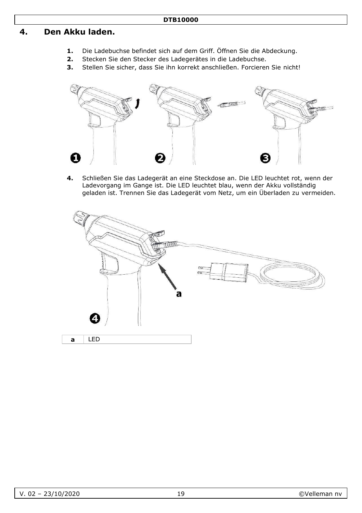## **4. Den Akku laden.**

- **1.** Die Ladebuchse befindet sich auf dem Griff. Öffnen Sie die Abdeckung.
- **2.** Stecken Sie den Stecker des Ladegerätes in die Ladebuchse.
- **3.** Stellen Sie sicher, dass Sie ihn korrekt anschließen. Forcieren Sie nicht!



**4.** Schließen Sie das Ladegerät an eine Steckdose an. Die LED leuchtet rot, wenn der Ladevorgang im Gange ist. Die LED leuchtet blau, wenn der Akku vollständig geladen ist. Trennen Sie das Ladegerät vom Netz, um ein Überladen zu vermeiden.

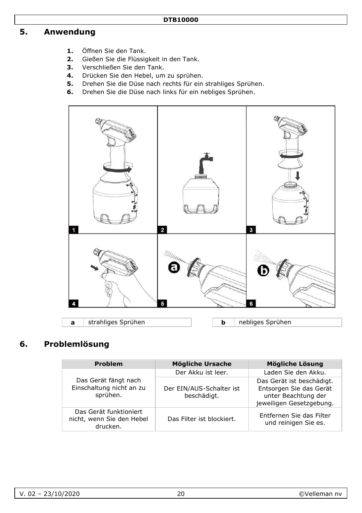# **5. Anwendung**

- **1.** Öffnen Sie den Tank.
- **2.** Gießen Sie die Flüssigkeit in den Tank.
- **3.** Verschließen Sie den Tank.
- **4.** Drücken Sie den Hebel, um zu sprühen.
- **5.** Drehen Sie die Düse nach rechts für ein strahliges Sprühen.
- **6.** Drehen Sie die Düse nach links für ein nebliges Sprühen.



# **6. Problemlösung**

| <b>Problem</b>                                                  | Mögliche Ursache                        | Mögliche Lösung                                                                                         |
|-----------------------------------------------------------------|-----------------------------------------|---------------------------------------------------------------------------------------------------------|
|                                                                 | Der Akku ist leer.                      | Laden Sie den Akku.                                                                                     |
| Das Gerät fängt nach<br>Einschaltung nicht an zu<br>sprühen.    | Der EIN/AUS-Schalter ist<br>beschädigt. | Das Gerät ist beschädigt.<br>Entsorgen Sie das Gerät<br>unter Beachtung der<br>jeweiligen Gesetzgebung. |
| Das Gerät funktioniert<br>nicht, wenn Sie den Hebel<br>drucken. | Das Filter ist blockiert.               | Entfernen Sie das Filter<br>und reinigen Sie es.                                                        |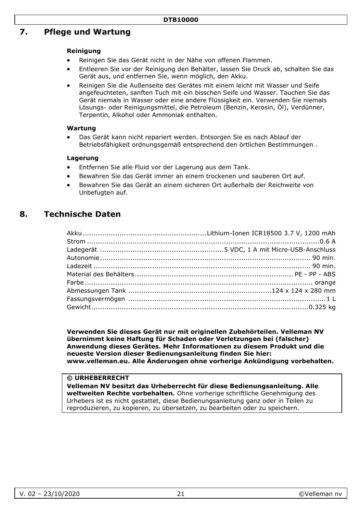## **7. Pflege und Wartung**

#### **Reinigung**

- Reinigen Sie das Gerät nicht in der Nähe von offenen Flammen.
- Entleeren Sie vor der Reinigung den Behälter, lassen Sie Druck ab, schalten Sie das Gerät aus, und entfernen Sie, wenn möglich, den Akku.
- Reinigen Sie die Außenseite des Gerätes mit einem leicht mit Wasser und Seife angefeuchteten, sanften Tuch mit ein bisschen Seife und Wasser. Tauchen Sie das Gerät niemals in Wasser oder eine andere Flüssigkeit ein. Verwenden Sie niemals Lösungs- oder Reinigungsmittel, die Petroleum (Benzin, Kerosin, Öl), Verdünner, Terpentin, Alkohol oder Ammoniak enthalten.

#### **Wartung**

• Das Gerät kann nicht repariert werden. Entsorgen Sie es nach Ablauf der Betriebsfähigkeit ordnungsgemäß entsprechend den örtlichen Bestimmungen .

#### **Lagerung**

- Entfernen Sie alle Fluid vor der Lagerung aus dem Tank.
- Bewahren Sie das Gerät immer an einem trockenen und sauberen Ort auf.
- Bewahren Sie das Gerät an einem sicheren Ort außerhalb der Reichweite von Unbefugten auf.

### **8. Technische Daten**

**Verwenden Sie dieses Gerät nur mit originellen Zubehörteilen. Velleman NV übernimmt keine Haftung für Schaden oder Verletzungen bei (falscher) Anwendung dieses Gerätes. Mehr Informationen zu diesem Produkt und die neueste Version dieser Bedienungsanleitung finden Sie hier: www.velleman.eu. Alle Änderungen ohne vorherige Ankündigung vorbehalten.** 

#### **© URHEBERRECHT**

**Velleman NV besitzt das Urheberrecht für diese Bedienungsanleitung. Alle weltweiten Rechte vorbehalten.** Ohne vorherige schriftliche Genehmigung des Urhebers ist es nicht gestattet, diese Bedienungsanleitung ganz oder in Teilen zu reproduzieren, zu kopieren, zu übersetzen, zu bearbeiten oder zu speichern.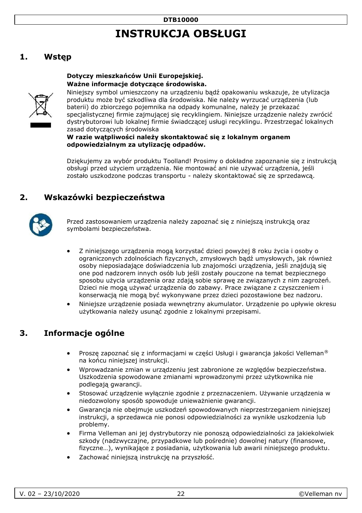# **INSTRUKCJA OBSŁUGI**

# <span id="page-21-0"></span>**1. Wstęp**

#### **Dotyczy mieszkańców Unii Europejskiej. Ważne informacje dotyczące środowiska.**



Niniejszy symbol umieszczony na urządzeniu bądź opakowaniu wskazuje, że utylizacja produktu może być szkodliwa dla środowiska. Nie należy wyrzucać urządzenia (lub baterii) do zbiorczego pojemnika na odpady komunalne, należy je przekazać specjalistycznej firmie zajmującej się recyklingiem. Niniejsze urządzenie należy zwrócić dystrybutorowi lub lokalnej firmie świadczącej usługi recyklingu. Przestrzegać lokalnych zasad dotyczących środowiska

#### **W razie wątpliwości należy skontaktować się z lokalnym organem odpowiedzialnym za utylizację odpadów.**

Dziękujemy za wybór produktu Toolland! Prosimy o dokładne zapoznanie się z instrukcją obsługi przed użyciem urządzenia. Nie montować ani nie używać urządzenia, jeśli zostało uszkodzone podczas transportu - należy skontaktować się ze sprzedawcą.

# **2. Wskazówki bezpieczeństwa**



Przed zastosowaniem urządzenia należy zapoznać się z niniejszą instrukcją oraz symbolami bezpieczeństwa.

- Z niniejszego urządzenia mogą korzystać dzieci powyżej 8 roku życia i osoby o ograniczonych zdolnościach fizycznych, zmysłowych bądź umysłowych, jak również osoby nieposiadające doświadczenia lub znajomości urządzenia, jeśli znajdują się one pod nadzorem innych osób lub jeśli zostały pouczone na temat bezpiecznego sposobu użycia urządzenia oraz zdają sobie sprawę ze związanych z nim zagrożeń. Dzieci nie mogą używać urządzenia do zabawy. Prace związane z czyszczeniem i konserwacją nie mogą być wykonywane przez dzieci pozostawione bez nadzoru.
- Niniejsze urządzenie posiada wewnętrzny akumulator. Urządzenie po upływie okresu użytkowania należy usunąć zgodnie z lokalnymi przepisami.

# **3. Informacje ogólne**

- Proszę zapoznać się z informacjami w części Usługi i gwarancja jakości Velleman® na końcu niniejszej instrukcji.
- Wprowadzanie zmian w urządzeniu jest zabronione ze względów bezpieczeństwa. Uszkodzenia spowodowane zmianami wprowadzonymi przez użytkownika nie podlegają gwarancji.
- Stosować urządzenie wyłącznie zgodnie z przeznaczeniem. Używanie urządzenia w niedozwolony sposób spowoduje unieważnienie gwarancji.
- Gwarancja nie obejmuje uszkodzeń spowodowanych nieprzestrzeganiem niniejszej instrukcji, a sprzedawca nie ponosi odpowiedzialności za wynikłe uszkodzenia lub problemy.
- Firma Velleman ani jej dystrybutorzy nie ponoszą odpowiedzialności za jakiekolwiek szkody (nadzwyczajne, przypadkowe lub pośrednie) dowolnej natury (finansowe, fizyczne…), wynikające z posiadania, użytkowania lub awarii niniejszego produktu.
- Zachować niniejszą instrukcję na przyszłość.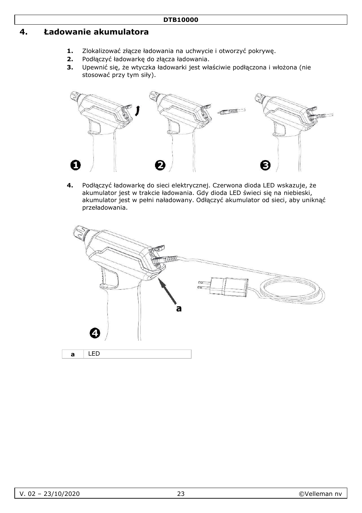## **4. Ładowanie akumulatora**

- 1. Zlokalizować złącze ładowania na uchwycie i otworzyć pokrywę.<br>2. Podłaczyć ładowarke do złacza ładowania.
- **2.** Podłączyć ładowarkę do złącza ładowania.
- **3.** Upewnić się, że wtyczka ładowarki jest właściwie podłączona i włożona (nie stosować przy tym siły).



**4.** Podłączyć ładowarkę do sieci elektrycznej. Czerwona dioda LED wskazuje, że akumulator jest w trakcie ładowania. Gdy dioda LED świeci się na niebieski, akumulator jest w pełni naładowany. Odłączyć akumulator od sieci, aby uniknąć przeładowania.

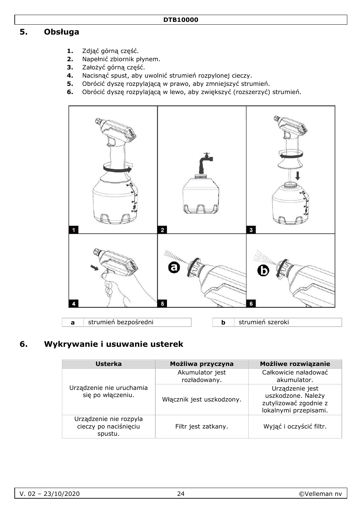# **5. Obsługa**

- 1. Zdjąć górną część.<br>2. Napełnić zbiornik p
- **2.** Napełnić zbiornik płynem.
- **3.** Założyć górną część.
- **4.** Nacisnąć spust, aby uwolnić strumień rozpylonej cieczy.
- **5.** Obrócić dyszę rozpylającą w prawo, aby zmniejszyć strumień.
- **6.** Obrócić dyszę rozpylającą w lewo, aby zwiększyć (rozszerzyć) strumień.



# **6. Wykrywanie i usuwanie usterek**

| Usterka                                                    | Możliwa przyczyna               | Możliwe rozwiązanie                                                                     |
|------------------------------------------------------------|---------------------------------|-----------------------------------------------------------------------------------------|
|                                                            | Akumulator jest<br>rozładowany. | Całkowicie naładować<br>akumulator.                                                     |
| Urządzenie nie uruchamia<br>sie po właczeniu.              | Włącznik jest uszkodzony.       | Urządzenie jest<br>uszkodzone. Należy<br>zutylizować zgodnie z<br>lokalnymi przepisami. |
| Urządzenie nie rozpyla<br>cieczy po naciśnięciu<br>spustu. | Filtr jest zatkany.             | Wyjąć i oczyścić filtr.                                                                 |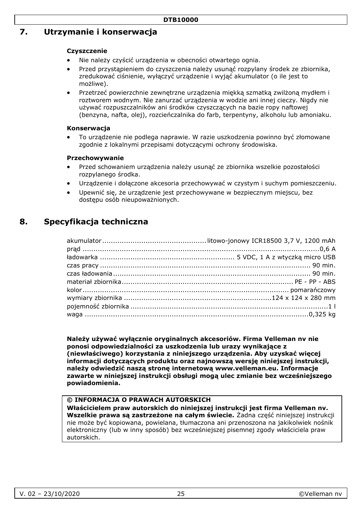### **7. Utrzymanie i konserwacja**

#### **Czyszczenie**

- Nie należy czyścić urządzenia w obecności otwartego ognia.
- Przed przystąpieniem do czyszczenia należy usunąć rozpylany środek ze zbiornika, zredukować ciśnienie, wyłączyć urządzenie i wyjąć akumulator (o ile jest to możliwe).
- Przetrzeć powierzchnie zewnętrzne urządzenia miękką szmatką zwilżoną mydłem i roztworem wodnym. Nie zanurzać urządzenia w wodzie ani innej cieczy. Nigdy nie używać rozpuszczalników ani środków czyszczących na bazie ropy naftowej (benzyna, nafta, olej), rozcieńczalnika do farb, terpentyny, alkoholu lub amoniaku.

#### **Konserwacja**

• To urządzenie nie podlega naprawie. W razie uszkodzenia powinno być złomowane zgodnie z lokalnymi przepisami dotyczącymi ochrony środowiska.

#### **Przechowywanie**

- Przed schowaniem urządzenia należy usunąć ze zbiornika wszelkie pozostałości rozpylanego środka.
- Urządzenie i dołączone akcesoria przechowywać w czystym i suchym pomieszczeniu.
- Upewnić się, że urządzenie jest przechowywane w bezpiecznym miejscu, bez dostępu osób nieupoważnionych.

### **8. Specyfikacja techniczna**

**Należy używać wyłącznie oryginalnych akcesoriów. Firma Velleman nv nie ponosi odpowiedzialności za uszkodzenia lub urazy wynikające z (niewłaściwego) korzystania z niniejszego urządzenia. Aby uzyskać więcej informacji dotyczących produktu oraz najnowszą wersję niniejszej instrukcji, należy odwiedzić naszą stronę internetową www.velleman.eu. Informacje zawarte w niniejszej instrukcji obsługi mogą ulec zmianie bez wcześniejszego powiadomienia.** 

#### **© INFORMACJA O PRAWACH AUTORSKICH**

**Właścicielem praw autorskich do niniejszej instrukcji jest firma Velleman nv. Wszelkie prawa są zastrzeżone na całym świecie.** Żadna część niniejszej instrukcji nie może być kopiowana, powielana, tłumaczona ani przenoszona na jakikolwiek nośnik elektroniczny (lub w inny sposób) bez wcześniejszej pisemnej zgody właściciela praw autorskich.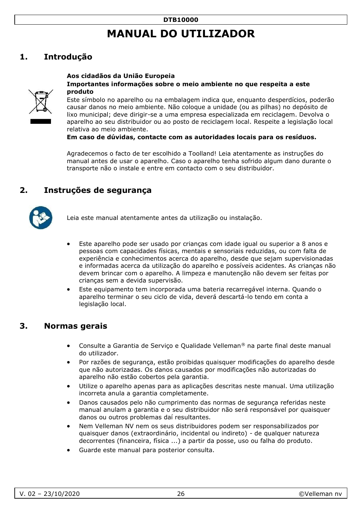# **MANUAL DO UTILIZADOR**

# <span id="page-25-0"></span>**1. Introdução**

#### **Aos cidadãos da União Europeia Importantes informações sobre o meio ambiente no que respeita a este produto**



Este símbolo no aparelho ou na embalagem indica que, enquanto desperdícios, poderão causar danos no meio ambiente. Não coloque a unidade (ou as pilhas) no depósito de lixo municipal; deve dirigir-se a uma empresa especializada em reciclagem. Devolva o aparelho ao seu distribuidor ou ao posto de reciclagem local. Respeite a legislação local relativa ao meio ambiente.

**Em caso de dúvidas, contacte com as autoridades locais para os resíduos.** 

Agradecemos o facto de ter escolhido a Toolland! Leia atentamente as instruções do manual antes de usar o aparelho. Caso o aparelho tenha sofrido algum dano durante o transporte não o instale e entre em contacto com o seu distribuidor.

### **2. Instruções de segurança**



Leia este manual atentamente antes da utilização ou instalação.

- Este aparelho pode ser usado por crianças com idade igual ou superior a 8 anos e pessoas com capacidades físicas, mentais e sensoriais reduzidas, ou com falta de experiência e conhecimentos acerca do aparelho, desde que sejam supervisionadas e informadas acerca da utilização do aparelho e possíveis acidentes. As crianças não devem brincar com o aparelho. A limpeza e manutenção não devem ser feitas por crianças sem a devida supervisão.
- Este equipamento tem incorporada uma bateria recarregável interna. Quando o aparelho terminar o seu ciclo de vida, deverá descartá-lo tendo em conta a legislação local.

### **3. Normas gerais**

- Consulte a Garantia de Serviço e Qualidade Velleman® na parte final deste manual do utilizador.
- Por razões de segurança, estão proibidas quaisquer modificações do aparelho desde que não autorizadas. Os danos causados por modificações não autorizadas do aparelho não estão cobertos pela garantia.
- Utilize o aparelho apenas para as aplicações descritas neste manual. Uma utilização incorreta anula a garantia completamente.
- Danos causados pelo não cumprimento das normas de segurança referidas neste manual anulam a garantia e o seu distribuidor não será responsável por quaisquer danos ou outros problemas daí resultantes.
- Nem Velleman NV nem os seus distribuidores podem ser responsabilizados por quaisquer danos (extraordinário, incidental ou indireto) - de qualquer natureza decorrentes (financeira, física ...) a partir da posse, uso ou falha do produto.
- Guarde este manual para posterior consulta.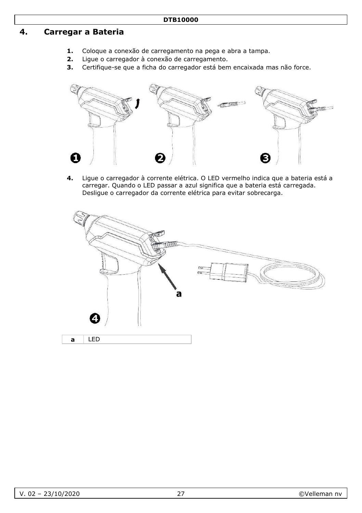# **4. Carregar a Bateria**

- **1.** Coloque a conexão de carregamento na pega e abra a tampa.
- **2.** Ligue o carregador à conexão de carregamento.
- **3.** Certifique-se que a ficha do carregador está bem encaixada mas não force.



**4.** Ligue o carregador à corrente elétrica. O LED vermelho indica que a bateria está a carregar. Quando o LED passar a azul significa que a bateria está carregada. Desligue o carregador da corrente elétrica para evitar sobrecarga.

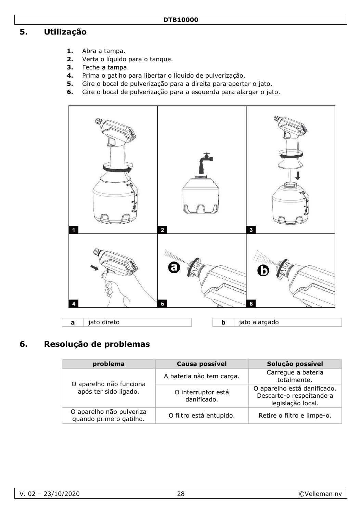#### **DTB10000**

# **5. Utilização**

- **1.** Abra a tampa.
- **2.** Verta o líquido para o tanque.
- **3.** Feche a tampa.
- **4.** Prima o gatiho para libertar o líquido de pulverizaçâo.
- **5.** Gire o bocal de pulverização para a direita para apertar o jato.
- **6.** Gire o bocal de pulverização para a esquerda para alargar o jato.



# **6. Resolução de problemas**

| problema                                            | Causa possível                    | Solução possível                                                             |
|-----------------------------------------------------|-----------------------------------|------------------------------------------------------------------------------|
| O aparelho não funciona<br>após ter sido ligado.    | A bateria não tem carga.          | Carregue a bateria<br>totalmente.                                            |
|                                                     | O interruptor está<br>danificado. | O aparelho está danificado.<br>Descarte-o respeitando a<br>legislação local. |
| O aparelho não pulveriza<br>quando prime o gatilho. | O filtro está entupido.           | Retire o filtro e limpe-o.                                                   |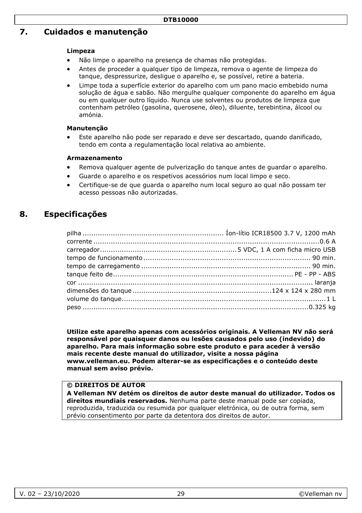# **7. Cuidados e manutenção**

#### **Limpeza**

- Não limpe o aparelho na presença de chamas não protegidas.
- Antes de proceder a qualquer tipo de limpeza, remova o agente de limpeza do tanque, despressurize, desligue o aparelho e, se possível, retire a bateria.
- Limpe toda a superfície exterior do aparelho com um pano macio embebido numa solução de água e sabão. Não mergulhe qualquer componente do aparelho em água ou em qualquer outro líquido. Nunca use solventes ou produtos de limpeza que contenham petróleo (gasolina, querosene, óleo), diluente, terebintina, álcool ou amónia.

#### **Manutenção**

• Este aparelho não pode ser reparado e deve ser descartado, quando danificado, tendo em conta a regulamentação local relativa ao ambiente.

#### **Armazenamento**

- Remova qualquer agente de pulverização do tanque antes de guardar o aparelho.
- Guarde o aparelho e os respetivos acessórios num local limpo e seco.
- Certifique-se de que guarda o aparelho num local seguro ao qual não possam ter acesso pessoas não autorizadas.

### **8. Especificações**

**Utilize este aparelho apenas com acessórios originais. A Velleman NV não será responsável por quaisquer danos ou lesões causados pelo uso (indevido) do aparelho. Para mais informação sobre este produto e para aceder à versão mais recente deste manual do utilizador, visite a nossa página www.velleman.eu. Podem alterar-se as especificações e o conteúdo deste manual sem aviso prévio.** 

#### **© DIREITOS DE AUTOR**

**A Velleman NV detém os direitos de autor deste manual do utilizador. Todos os direitos mundiais reservados.** Nenhuma parte deste manual pode ser copiada, reproduzida, traduzida ou resumida por qualquer eletrónica, ou de outra forma, sem prévio consentimento por parte da detentora dos direitos de autor.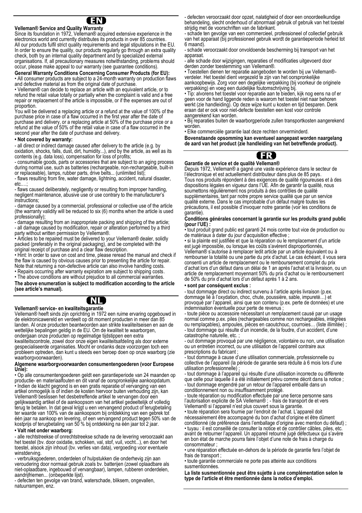**Velleman® Service and Quality Warranty**  Since its foundation in 1972. Velleman® acquired extensive experience in the electronics world and currently distributes its products in over 85 countries. All our products fulfil strict quality requirements and legal stipulations in the EU. In order to ensure the quality, our products regularly go through an extra quality check, both by an internal quality department and by specialized external organisations. If, all precautionary measures notwithstanding, problems should occur, please make appeal to our warranty (see guarantee conditions).

**General Warranty Conditions Concerning Consumer Products (for EU):**  • All consumer products are subject to a 24-month warranty on production flaws and defective material as from the original date of purchase.

• Velleman® can decide to replace an article with an equivalent article, or to refund the retail value totally or partially when the complaint is valid and a free repair or replacement of the article is impossible, or if the expenses are out of

proportion. You will be delivered a replacing article or a refund at the value of 100% of the purchase price in case of a flaw occurred in the first year after the date of purchase and delivery, or a replacing article at 50% of the purchase price or a refund at the value of 50% of the retail value in case of a flaw occurred in the second year after the date of purchase and delivery.

#### **• Not covered by warranty:**

- all direct or indirect damage caused after delivery to the article (e.g. by oxidation, shocks, falls, dust, dirt, humidity...), and by the article, as well as its contents (e.g. data loss), compensation for loss of profits;

- consumable goods, parts or accessories that are subject to an aging process during normal use, such as batteries (rechargeable, non-rechargeable, built-in or replaceable), lamps, rubber parts, drive belts... (unlimited list);

- flaws resulting from fire, water damage, lightning, accident, natural disaster, etc.

- flaws caused deliberately, negligently or resulting from improper handling, negligent maintenance, abusive use or use contrary to the manufacturer's instructions;

- damage caused by a commercial, professional or collective use of the article (the warranty validity will be reduced to six (6) months when the article is used professionally);

- damage resulting from an inappropriate packing and shipping of the article; - all damage caused by modification, repair or alteration performed by a third party without written permission by Velleman®.

• Articles to be repaired must be delivered to your Velleman® dealer, solidly packed (preferably in the original packaging), and be completed with the original receipt of purchase and a clear flaw description.

• Hint: In order to save on cost and time, please reread the manual and check if the flaw is caused by obvious causes prior to presenting the article for repair. Note that returning a non-defective article can also involve handling costs.

• Repairs occurring after warranty expiration are subject to shipping costs. • The above conditions are without prejudice to all commercial warranties.

**The above enumeration is subject to modification according to the article (see article's manual).**



**Velleman® service- en kwaliteitsgarantie** 

Velleman® heeft sinds zijn oprichting in 1972 een ruime ervaring opgebouwd in de elektronicawereld en verdeelt op dit moment producten in meer dan 85 landen. Al onze producten beantwoorden aan strikte kwaliteitseisen en aan de wettelijke bepalingen geldig in de EU. Om de kwaliteit te waarborgen, ondergaan onze producten op regelmatige tijdstippen een extra

kwaliteitscontrole, zowel door onze eigen kwaliteitsafdeling als door externe gespecialiseerde organisaties. Mocht er ondanks deze voorzorgen toch een probleem optreden, dan kunt u steeds een beroep doen op onze waarborg (zie waarborgvoorwaarden).

#### **Algemene waarborgvoorwaarden consumentengoederen (voor Europese Unie):**

• Op alle consumentengoederen geldt een garantieperiode van 24 maanden op productie- en materiaalfouten en dit vanaf de oorspronkelijke aankoopdatum. • Indien de klacht gegrond is en een gratis reparatie of vervanging van een artikel onmogelijk is of indien de kosten hiervoor buiten verhouding zijn, kan Velleman® beslissen het desbetreffende artikel te vervangen door een gelijkwaardig artikel of de aankoopsom van het artikel gedeeltelijk of volledig terug te betalen. In dat geval krijgt u een vervangend product of terugbetaling ter waarde van 100% van de aankoopsom bij ontdekking van een gebrek tot één jaar na aankoop en levering, of een vervangend product tegen 50% van de kostprijs of terugbetaling van 50 % bij ontdekking na één jaar tot 2 jaar.

#### **• Valt niet onder waarborg:**

- alle rechtstreekse of onrechtstreekse schade na de levering veroorzaakt aan het toestel (bv. door oxidatie, schokken, val, stof, vuil, vocht...), en door het toestel, alsook zijn inhoud (bv. verlies van data), vergoeding voor eventuele winstderving.

- verbruiksgoederen, onderdelen of hulpstukken die onderhevig zijn aan veroudering door normaal gebruik zoals bv. batterijen (zowel oplaadbare als niet-oplaadbare, ingebouwd of vervangbaar), lampen, rubberen onderdelen, aandrijfriemen... (onbeperkte lijst).

- defecten ten gevolge van brand, waterschade, bliksem, ongevallen, natuurrampen, enz.

- defecten veroorzaakt door opzet, nalatigheid of door een onoordeelkundige behandeling, slecht onderhoud of abnormaal gebruik of gebruik van het toestel strijdig met de voorschriften van de fabrikant.

- schade ten gevolge van een commercieel, professioneel of collectief gebruik van het apparaat (bij professioneel gebruik wordt de garantieperiode herleid tot 6 maand).

- schade veroorzaakt door onvoldoende bescherming bij transport van het apparaat.

- alle schade door wijzigingen, reparaties of modificaties uitgevoerd door derden zonder toestemming van Velleman®.

• Toestellen dienen ter reparatie aangeboden te worden bij uw Velleman® verdeler. Het toestel dient vergezeld te zijn van het oorspronkelijke aankoopbewijs. Zorg voor een degelijke verpakking (bij voorkeur de originele verpakking) en voeg een duidelijke foutomschrijving bij.

• Tip: alvorens het toestel voor reparatie aan te bieden, kijk nog eens na of er geen voor de hand liggende reden is waarom het toestel niet naar behoren werkt (zie handleiding). Op deze wijze kunt u kosten en tijd besparen. Denk eraan dat er ook voor niet-defecte toestellen een kost voor controle aangerekend kan worden.

• Bij reparaties buiten de waarborgperiode zullen transportkosten aangerekend worden.

• Elke commerciële garantie laat deze rechten onverminderd.

**Bovenstaande opsomming kan eventueel aangepast worden naargelang de aard van het product (zie handleiding van het betreffende product).** 



#### **Garantie de service et de qualité Velleman®**

Depuis 1972, Velleman® a gagné une vaste expérience dans le secteur de l'électronique et est actuellement distributeur dans plus de 85 pays. Tous nos produits répondent à des exigences de qualité rigoureuses et à des dispositions légales en vigueur dans l'UE. Afin de garantir la qualité, nous soumettons régulièrement nos produits à des contrôles de qualité supplémentaires, tant par notre propre service qualité que par un service qualité externe. Dans le cas improbable d'un défaut malgré toutes les précautions, il est possible d'invoquer notre garantie (voir les conditions de garantie).

#### **Conditions générales concernant la garantie sur les produits grand public (pour l'UE) :**

• tout produit grand public est garanti 24 mois contre tout vice de production ou de matériaux à dater du jour d'acquisition effective ;

• si la plainte est justifiée et que la réparation ou le remplacement d'un article est jugé impossible, ou lorsque les coûts s'avèrent disproportionnés,

Velleman® s'autorise à remplacer ledit article par un article équivalent ou à rembourser la totalité ou une partie du prix d'achat. Le cas échéant, il vous sera consenti un article de remplacement ou le remboursement complet du prix d'achat lors d'un défaut dans un délai de 1 an après l'achat et la livraison, ou un article de remplacement moyennant 50% du prix d'achat ou le remboursement de 50% du prix d'achat lors d'un défaut après 1 à 2 ans.

#### **• sont par conséquent exclus :**

tout dommage direct ou indirect survenu à l'article après livraison (p.ex. dommage lié à l'oxydation, choc, chute, poussière, sable, impureté…) et provoqué par l'appareil, ainsi que son contenu (p.ex. perte de données) et une indemnisation éventuelle pour perte de revenus

- toute pièce ou accessoire nécessitant un remplacement causé par un usage normal comme p.ex. piles (rechargeables comme non rechargeables, intégrées ou remplaçables), ampoules, pièces en caoutchouc, courroies… (liste illimitée) ; - tout dommage qui résulte d'un incendie, de la foudre, d'un accident, d'une catastrophe naturelle, etc.

- out dommage provoqué par une négligence, volontaire ou non, une utilisation ou un entretien incorrect, ou une utilisation de l'appareil contraire aux prescriptions du fabricant ;

tout dommage à cause d'une utilisation commerciale, professionnelle ou collective de l'appareil (la période de garantie sera réduite à 6 mois lors d'une utilisation professionnelle) ;

- tout dommage à l'appareil qui résulte d'une utilisation incorrecte ou différente que celle pour laquelle il a été initialement prévu comme décrit dans la notice : - tout dommage engendré par un retour de l'appareil emballé dans un conditionnement non ou insuffisamment protégé.

- toute réparation ou modification effectuée par une tierce personne sans l'autorisation explicite de SA Velleman® ; - frais de transport de et vers Velleman® si l'appareil n'est plus couvert sous la garantie.

• toute réparation sera fournie par l'endroit de l'achat. L'appareil doit

nécessairement être accompagné du bon d'achat d'origine et être dûment conditionné (de préférence dans l'emballage d'origine avec mention du défaut) ; • tuyau : il est conseillé de consulter la notice et de contrôler câbles, piles, etc. avant de retourner l'appareil. Un appareil retourné jugé défectueux qui s'avère

en bon état de marche pourra faire l'objet d'une note de frais à charge du consommateur ;

• une réparation effectuée en-dehors de la période de garantie fera l'objet de frais de transport :

• toute garantie commerciale ne porte pas atteinte aux conditions susmentionnées.

**La liste susmentionnée peut être sujette à une complémentation selon le type de l'article et être mentionnée dans la notice d'emploi.**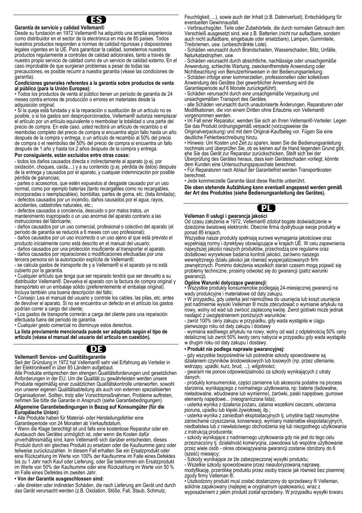

**Garantía de servicio y calidad Velleman®**  Desde su fundación en 1972 Velleman® ha adquirido una amplia experiencia como distribuidor en el sector de la electrónica en más de 85 países. Todos nuestros productos responden a normas de calidad rigurosas y disposiciones legales vigentes en la UE. Para garantizar la calidad, sometemos nuestros productos regularmente a controles de calidad adicionales, tanto a través de nuestro propio servicio de calidad como de un servicio de calidad externo. En el caso improbable de que surgieran problemas a pesar de todas las precauciones, es posible recurrir a nuestra garantía (véase las condiciones de garantía).

#### **Condiciones generales referentes a la garantía sobre productos de venta al público (para la Unión Europea):**

• Todos los productos de venta al público tienen un período de garantía de 24 meses contra errores de producción o errores en materiales desde la adquisición original;

• Si la queja está fundada y si la reparación o sustitución de un artículo no es posible, o si los gastos son desproporcionados, Velleman® autoriza reemplazar el artículo por un artículo equivalente o reembolsar la totalidad o una parte del precio de compra. En este caso, usted recibirá un artículo de recambio o el reembolso completo del precio de compra si encuentra algún fallo hasta un año después de la compra y entrega, o un artículo de recambio al 50% del precio de compra o el reembolso del 50% del precio de compra si encuentra un fallo después de 1 año y hasta los 2 años después de la compra y entrega.

#### **Por consiguiente, están excluidos entre otras cosas:**

- todos los daños causados directa o indirectamente al aparato (p.ej. por oxidación, choques, caída,...) y a su contenido (p.ej. pérdida de datos) después de la entrega y causados por el aparato, y cualquier indemnización por posible pérdida de ganancias;

- partes o accesorios, que estén expuestos al desgaste causado por un uso normal, como por ejemplo baterías (tanto recargables como no recargables, incorporadas o reemplazables), bombillas, partes de goma, etc. (lista ilimitada); - defectos causados por un incendio, daños causados por el agua, rayos,

accidentes, catástrofes naturales, etc.;

- defectos causados a conciencia, descuido o por malos tratos, un mantenimiento inapropiado o un uso anormal del aparato contrario a las instrucciones del fabricante;

- daños causados por un uso comercial, profesional o colectivo del aparato (el período de garantía se reducirá a 6 meses con uso profesional);

- daños causados por un uso incorrecto o un uso ajeno al que está previsto el producto inicialmente como está descrito en el manual del usuario;

- daños causados por una protección insuficiente al transportar el aparato. - daños causados por reparaciones o modificaciones efectuadas por una

tercera persona sin la autorización explícita de Velleman®; - se calcula gastos de transporte de y a Velleman® si el aparato ya no está cubierto por la garantía.

• Cualquier artículo que tenga que ser reparado tendrá que ser devuelto a su distribuidor Velleman®. Devuelva el aparato con la factura de compra original y transpórtelo en un embalaje sólido (preferentemente el embalaje original). Incluya también una buena descripción del fallo;

• Consejo: Lea el manual del usuario y controle los cables, las pilas, etc. antes de devolver el aparato. Si no se encuentra un defecto en el artículo los gastos podrían correr a cargo del cliente;

• Los gastos de transporte correrán a carga del cliente para una reparación efectuada fuera del período de garantía.

• Cualquier gesto comercial no disminuye estos derechos.

**La lista previamente mencionada puede ser adaptada según el tipo de artículo (véase el manual del usuario del artículo en cuestión).** 

### ( DE

#### **Velleman® Service- und Qualitätsgarantie**

Seit der Gründung in 1972 hat Velleman® sehr viel Erfahrung als Verteiler in der Elektronikwelt in über 85 Ländern aufgebaut.

Alle Produkte entsprechen den strengen Qualitätsforderungen und gesetzlichen Anforderungen in der EU. Um die Qualität zu gewährleisten werden unsere Produkte regelmäßig einer zusätzlichen Qualitätskontrolle unterworfen, sowohl von unserer eigenen Qualitätsabteilung als auch von externen spezialisierten Organisationen. Sollten, trotz aller Vorsichtsmaßnahmen, Probleme auftreten, nehmen Sie bitte die Garantie in Anspruch (siehe Garantiebedingungen).

#### **Allgemeine Garantiebedingungen in Bezug auf Konsumgüter (für die Europäische Union):**

• Alle Produkte haben für Material- oder Herstellungsfehler eine Garantieperiode von 24 Monaten ab Verkaufsdatum.

• Wenn die Klage berechtigt ist und falls eine kostenlose Reparatur oder ein Austausch des Gerätes unmöglich ist, oder wenn die Kosten dafür unverhältnismäßig sind, kann Velleman® sich darüber entscheiden, dieses Produkt durch ein gleiches Produkt zu ersetzen oder die Kaufsumme ganz oder teilweise zurückzuzahlen. In diesem Fall erhalten Sie ein Ersatzprodukt oder

eine Rückzahlung im Werte von 100% der Kaufsumme im Falle eines Defektes bis zu 1 Jahr nach Kauf oder Lieferung, oder Sie bekommen ein Ersatzprodukt im Werte von 50% der Kaufsumme oder eine Rückzahlung im Werte von 50 % im Falle eines Defektes im zweiten Jahr.

#### **• Von der Garantie ausgeschlossen sind:**

- alle direkten oder indirekten Schäden, die nach Lieferung am Gerät und durch das Gerät verursacht werden (z.B. Oxidation, Stöße, Fall, Staub, Schmutz,

Feuchtigkeit, ...), sowie auch der Inhalt (z.B. Datenverlust), Entschädigung für eventuellen Gewinnausfall.

- Verbrauchsgüter, Teile oder Zubehörteile, die durch normalen Gebrauch dem Verschleiß ausgesetzt sind, wie z.B. Batterien (nicht nur aufladbare, sondern auch nicht aufladbare, eingebaute oder ersetzbare), Lampen, Gummiteile, Treibriemen, usw. (unbeschränkte Liste).

- Schäden verursacht durch Brandschaden, Wasserschaden, Blitz, Unfälle, Naturkatastrophen, usw.

- Schäden verursacht durch absichtliche, nachlässige oder unsachgemäße Anwendung, schlechte Wartung, zweckentfremdete Anwendung oder Nichtbeachtung von Benutzerhinweisen in der Bedienungsanleitung.

- Schäden infolge einer kommerziellen, professionellen oder kollektiven Anwendung des Gerätes (bei gewerblicher Anwendung wird die Garantieperiode auf 6 Monate zurückgeführt).

- Schäden verursacht durch eine unsachgemäße Verpackung und unsachgemäßen Transport des Gerätes.

- alle Schäden verursacht durch unautorisierte Änderungen, Reparaturen oder Modifikationen, die von einem Dritten ohne Erlaubnis von Velleman® vorgenommen werden.

• Im Fall einer Reparatur, wenden Sie sich an Ihren Velleman®-Verteiler. Legen Sie das Produkt ordnungsgemäß verpackt (vorzugsweise die Originalverpackung) und mit dem Original-Kaufbeleg vor. Fügen Sie eine deutliche Fehlerbeschreibung hinzu.

• Hinweis: Um Kosten und Zeit zu sparen, lesen Sie die Bedienungsanleitung nochmals und überprüfen Sie, ob es keinen auf de Hand liegenden Grund gibt, ehe Sie das Gerät zur Reparatur zurückschicken. Stellt sich bei der Überprüfung des Gerätes heraus, dass kein Geräteschaden vorliegt, könnte

dem Kunden eine Untersuchungspauschale berechnet. • Für Reparaturen nach Ablauf der Garantiefrist werden Transportkosten

berechnet. • Jede kommerzielle Garantie lässt diese Rechte unberührt.

**Die oben stehende Aufzählung kann eventuell angepasst werden gemäß der Art des Produktes (siehe Bedienungsanleitung des Gerätes).** 



### **Velleman ® usługi i gwarancja jakości**

Od czasu założenia w 1972, Velleman® zdobył bogate doświadczenie w dziedzinie światowej elektroniki. Obecnie firma dystrybuuje swoje produkty w ponad 85 krajach.

Wszystkie nasze produkty spełniają surowe wymagania jakościowe oraz wypełniają normy i dyrektywy obowiązujące w krajach UE. W celu zapewnienia najwyższej jakości naszych produktów, przechodzą one regularne oraz dodatkowo wyrywkowe badania kontroli jakości, zarówno naszego wewnętrznego działu jakości jak również wyspecjalizowanych firm zewnętrznych. Pomimo dołożenia wszelkich starań czasem mogą pojawić się problemy techniczne, prosimy odwołać się do gwarancji (patrz warunki gwarancji).

#### **Ogólne Warunki dotyczące gwarancji:**

• Wszystkie produkty konsumenckie podlegają 24-miesięcznej gwarancji na wady produkcyjne i materiałowe od daty zakupu.

• W przypadku, gdy usterka jest niemożliwa do usunięcia lub koszt usunięcia jest nadmiernie wysoki Velleman ® może zdecydować o wymianie artykułu na nowy, wolny od wad lub zwrócić zapłaconą kwotę. Zwrot gotówki może jednak nastąpić z uwzględnieniem poniższych warunków:

- zwrot 100% ceny zakupu w przypadku, gdy wada wystąpiła w ciągu pierwszego roku od daty zakupu i dostawy

- wymiana wadliwego artykułu na nowy, wolny od wad z odpłatnością 50% ceny detalicznej lub zwrot 50% kwoty ceny nabycia w przypadku gdy wada wystąpiła w drugim roku od daty zakupu i dostawy.

#### **• Produkt nie podlega naprawie gwarancyjnej:**

gdy wszystkie bezpośrednie lub pośrednie szkody spowodowane są działaniem czynników środowiskowych lub losowych (np. przez utlenianie,

wstrząsy, upadki, kurz, brud, ...), wilgotności; - gwarant nie ponosi odpowiedzialności za szkody wynikających z utraty danych;

- produkty konsumenckie, części zamienne lub akcesoria podatne na process starzenia, wynikającego z normalnego użytkowania, np: baterie (ładowalne, nieładowalne, wbudowane lub wymienne), żarówki, paski napędowe, gumowe elementy napędowe... (nieograniczona lista);

usterka wynika z działania pożaru, zalania wszelkimi cieczami, uderzenia

pioruna, upadku lub klęski żywiołowej, itp.; - usterka wynika z zaniedbań eksploatacyjnych tj. umyślne bądź nieumyślne zaniechanie czyszczenia, konserwacji, wymiany materiałów ekspolatacyjnych, niedbalstwa lub z niewłaściwego obchodzenia się lub niezgodnego użytkowania z instrukcia producenta:

szkody wynikające z nadmiernego użytkowania gdy nie jest do tego celu przeznaczony tj. działalność komerycjna, zawodowa lub wspólne użytkowanie przez wiele osób - okres obowiązywania gwarancji zostanie obniżony do 6 (sześć) miesięcy;

Szkody wynikające ze źle zabezpieczonej wysyłki produktu;

- Wszelkie szkody spowodowane przez nieautoryzowaną naprawę,

modyfikację, przeróbkę produktu przez osoby trzecie jak również bez pisemnej zgody firmy Velleman ®.

• Uszkodzony produkt musi zostać dostarczony do sprzedawcy ® Velleman, solidnie zapakowany (najlepiej w oryginalnym opakowaniu), wraz z wyposażeniem z jakim produkt został sprzedany. W przypadku wysyłki towaru